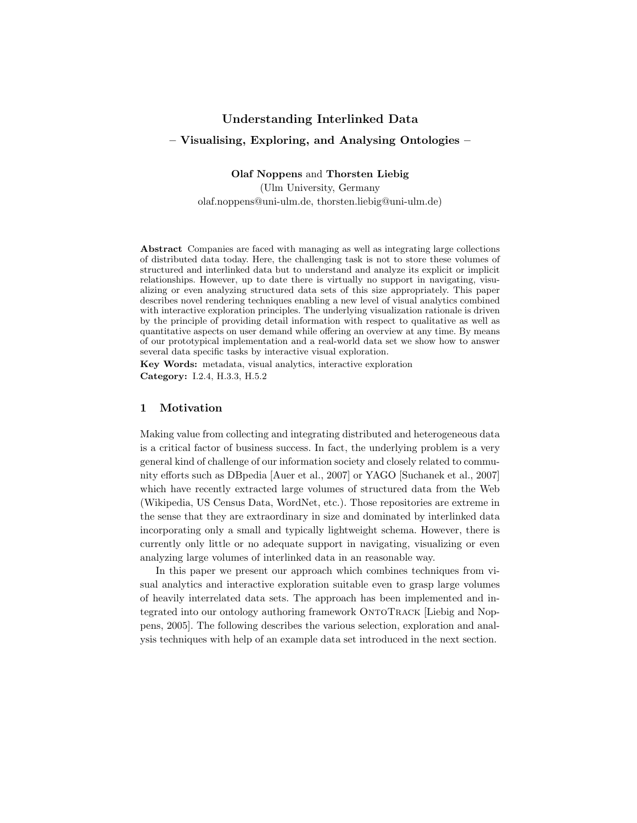# Understanding Interlinked Data – Visualising, Exploring, and Analysing Ontologies –

Olaf Noppens and Thorsten Liebig

(Ulm University, Germany olaf.noppens@uni-ulm.de, thorsten.liebig@uni-ulm.de)

Abstract Companies are faced with managing as well as integrating large collections of distributed data today. Here, the challenging task is not to store these volumes of structured and interlinked data but to understand and analyze its explicit or implicit relationships. However, up to date there is virtually no support in navigating, visualizing or even analyzing structured data sets of this size appropriately. This paper describes novel rendering techniques enabling a new level of visual analytics combined with interactive exploration principles. The underlying visualization rationale is driven by the principle of providing detail information with respect to qualitative as well as quantitative aspects on user demand while offering an overview at any time. By means of our prototypical implementation and a real-world data set we show how to answer several data specific tasks by interactive visual exploration.

Key Words: metadata, visual analytics, interactive exploration Category: I.2.4, H.3.3, H.5.2

#### 1 Motivation

Making value from collecting and integrating distributed and heterogeneous data is a critical factor of business success. In fact, the underlying problem is a very general kind of challenge of our information society and closely related to community efforts such as DBpedia [Auer et al., 2007] or YAGO [Suchanek et al., 2007] which have recently extracted large volumes of structured data from the Web (Wikipedia, US Census Data, WordNet, etc.). Those repositories are extreme in the sense that they are extraordinary in size and dominated by interlinked data incorporating only a small and typically lightweight schema. However, there is currently only little or no adequate support in navigating, visualizing or even analyzing large volumes of interlinked data in an reasonable way.

In this paper we present our approach which combines techniques from visual analytics and interactive exploration suitable even to grasp large volumes of heavily interrelated data sets. The approach has been implemented and integrated into our ontology authoring framework OntoTrack [Liebig and Noppens, 2005]. The following describes the various selection, exploration and analysis techniques with help of an example data set introduced in the next section.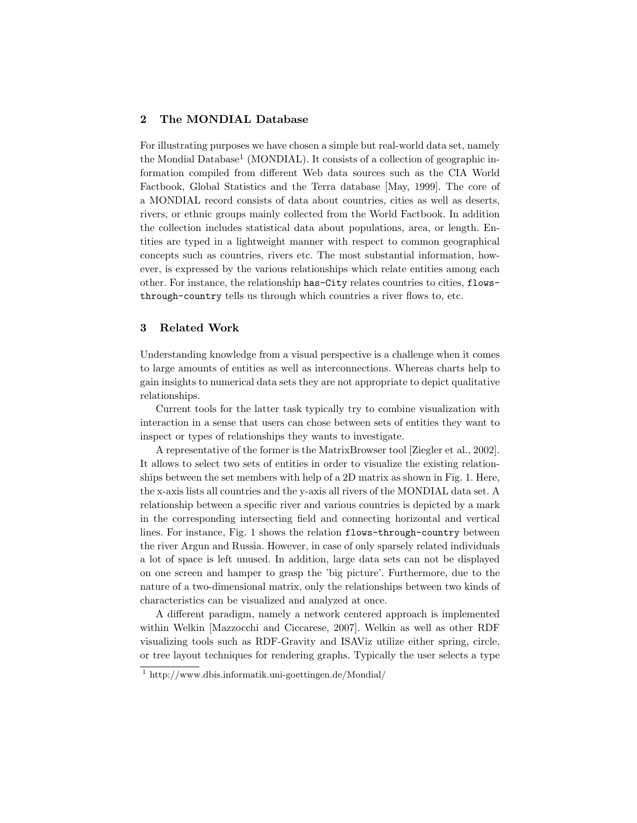# 2 The MONDIAL Database

For illustrating purposes we have chosen a simple but real-world data set, namely the Mondial Database<sup>1</sup> (MONDIAL). It consists of a collection of geographic information compiled from different Web data sources such as the CIA World Factbook, Global Statistics and the Terra database [May, 1999]. The core of a MONDIAL record consists of data about countries, cities as well as deserts, rivers, or ethnic groups mainly collected from the World Factbook. In addition the collection includes statistical data about populations, area, or length. Entities are typed in a lightweight manner with respect to common geographical concepts such as countries, rivers etc. The most substantial information, however, is expressed by the various relationships which relate entities among each other. For instance, the relationship has-City relates countries to cities, flowsthrough-country tells us through which countries a river flows to, etc.

#### 3 Related Work

Understanding knowledge from a visual perspective is a challenge when it comes to large amounts of entities as well as interconnections. Whereas charts help to gain insights to numerical data sets they are not appropriate to depict qualitative relationships.

Current tools for the latter task typically try to combine visualization with interaction in a sense that users can chose between sets of entities they want to inspect or types of relationships they wants to investigate.

A representative of the former is the MatrixBrowser tool [Ziegler et al., 2002]. It allows to select two sets of entities in order to visualize the existing relationships between the set members with help of a 2D matrix as shown in Fig. 1. Here, the x-axis lists all countries and the y-axis all rivers of the MONDIAL data set. A relationship between a specific river and various countries is depicted by a mark in the corresponding intersecting field and connecting horizontal and vertical lines. For instance, Fig. 1 shows the relation flows-through-country between the river Argun and Russia. However, in case of only sparsely related individuals a lot of space is left unused. In addition, large data sets can not be displayed on one screen and hamper to grasp the 'big picture'. Furthermore, due to the nature of a two-dimensional matrix, only the relationships between two kinds of characteristics can be visualized and analyzed at once.

A different paradigm, namely a network centered approach is implemented within Welkin [Mazzocchi and Ciccarese, 2007]. Welkin as well as other RDF visualizing tools such as RDF-Gravity and ISAViz utilize either spring, circle, or tree layout techniques for rendering graphs. Typically the user selects a type

<sup>1</sup> http://www.dbis.informatik.uni-goettingen.de/Mondial/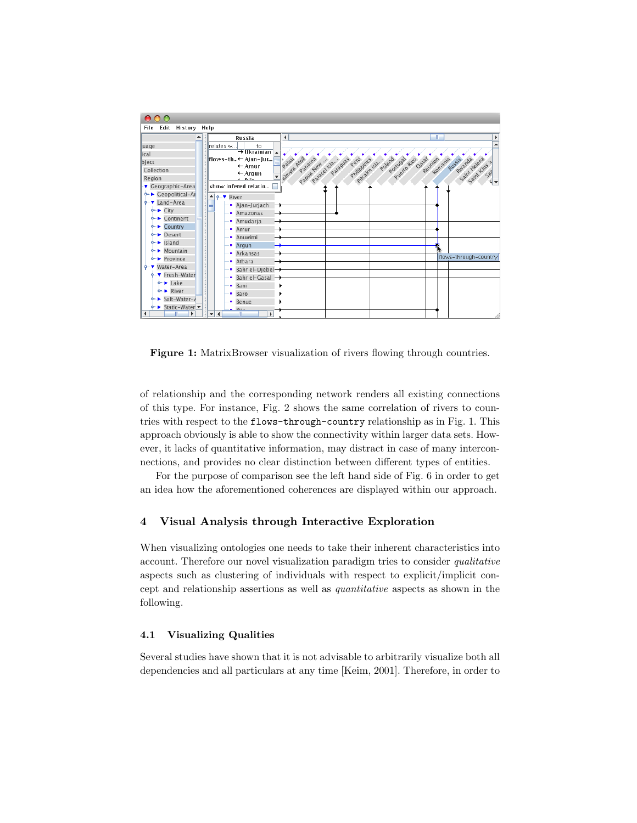

Figure 1: MatrixBrowser visualization of rivers flowing through countries.

of relationship and the corresponding network renders all existing connections of this type. For instance, Fig. 2 shows the same correlation of rivers to countries with respect to the flows-through-country relationship as in Fig. 1. This approach obviously is able to show the connectivity within larger data sets. However, it lacks of quantitative information, may distract in case of many interconnections, and provides no clear distinction between different types of entities.

For the purpose of comparison see the left hand side of Fig. 6 in order to get an idea how the aforementioned coherences are displayed within our approach.

## 4 Visual Analysis through Interactive Exploration

When visualizing ontologies one needs to take their inherent characteristics into account. Therefore our novel visualization paradigm tries to consider qualitative aspects such as clustering of individuals with respect to explicit/implicit concept and relationship assertions as well as quantitative aspects as shown in the following.

# 4.1 Visualizing Qualities

Several studies have shown that it is not advisable to arbitrarily visualize both all dependencies and all particulars at any time [Keim, 2001]. Therefore, in order to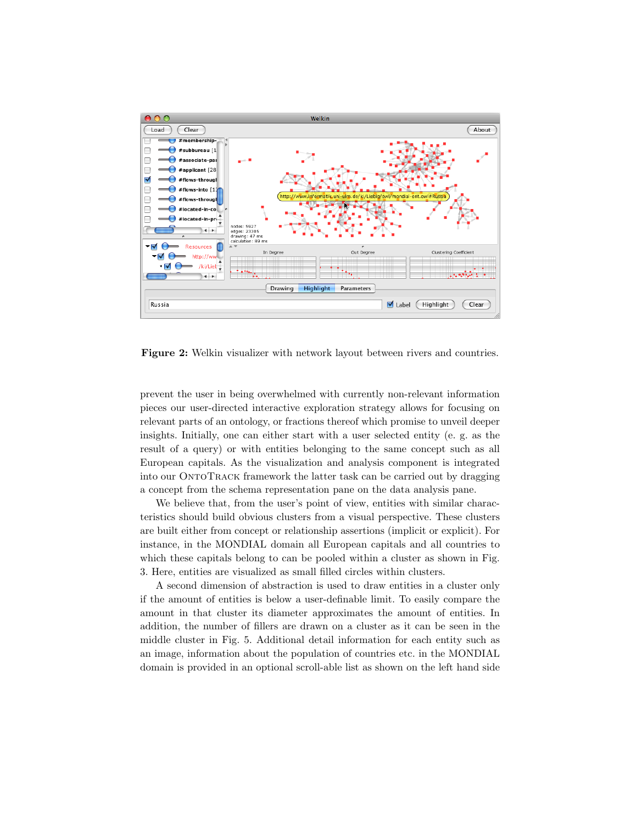

Figure 2: Welkin visualizer with network layout between rivers and countries.

prevent the user in being overwhelmed with currently non-relevant information pieces our user-directed interactive exploration strategy allows for focusing on relevant parts of an ontology, or fractions thereof which promise to unveil deeper insights. Initially, one can either start with a user selected entity (e. g. as the result of a query) or with entities belonging to the same concept such as all European capitals. As the visualization and analysis component is integrated into our OntoTrack framework the latter task can be carried out by dragging a concept from the schema representation pane on the data analysis pane.

We believe that, from the user's point of view, entities with similar characteristics should build obvious clusters from a visual perspective. These clusters are built either from concept or relationship assertions (implicit or explicit). For instance, in the MONDIAL domain all European capitals and all countries to which these capitals belong to can be pooled within a cluster as shown in Fig. 3. Here, entities are visualized as small filled circles within clusters.

A second dimension of abstraction is used to draw entities in a cluster only if the amount of entities is below a user-definable limit. To easily compare the amount in that cluster its diameter approximates the amount of entities. In addition, the number of fillers are drawn on a cluster as it can be seen in the middle cluster in Fig. 5. Additional detail information for each entity such as an image, information about the population of countries etc. in the MONDIAL domain is provided in an optional scroll-able list as shown on the left hand side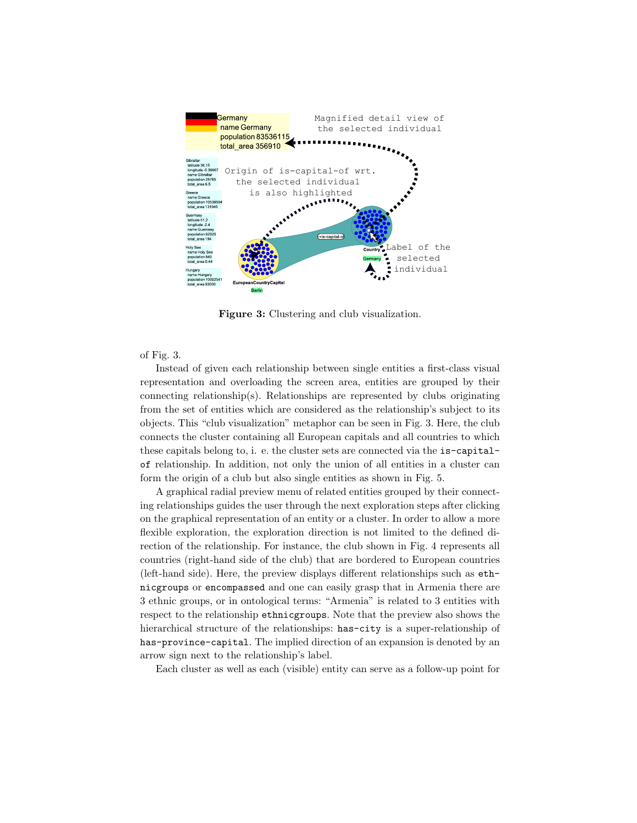

Figure 3: Clustering and club visualization.

#### of Fig. 3.

Instead of given each relationship between single entities a first-class visual representation and overloading the screen area, entities are grouped by their connecting relationship(s). Relationships are represented by clubs originating from the set of entities which are considered as the relationship's subject to its objects. This "club visualization" metaphor can be seen in Fig. 3. Here, the club connects the cluster containing all European capitals and all countries to which these capitals belong to, i. e. the cluster sets are connected via the is-capitalof relationship. In addition, not only the union of all entities in a cluster can form the origin of a club but also single entities as shown in Fig. 5.

A graphical radial preview menu of related entities grouped by their connecting relationships guides the user through the next exploration steps after clicking on the graphical representation of an entity or a cluster. In order to allow a more flexible exploration, the exploration direction is not limited to the defined direction of the relationship. For instance, the club shown in Fig. 4 represents all countries (right-hand side of the club) that are bordered to European countries (left-hand side). Here, the preview displays different relationships such as ethnicgroups or encompassed and one can easily grasp that in Armenia there are 3 ethnic groups, or in ontological terms: "Armenia" is related to 3 entities with respect to the relationship ethnicgroups. Note that the preview also shows the hierarchical structure of the relationships: has-city is a super-relationship of has-province-capital. The implied direction of an expansion is denoted by an arrow sign next to the relationship's label.

Each cluster as well as each (visible) entity can serve as a follow-up point for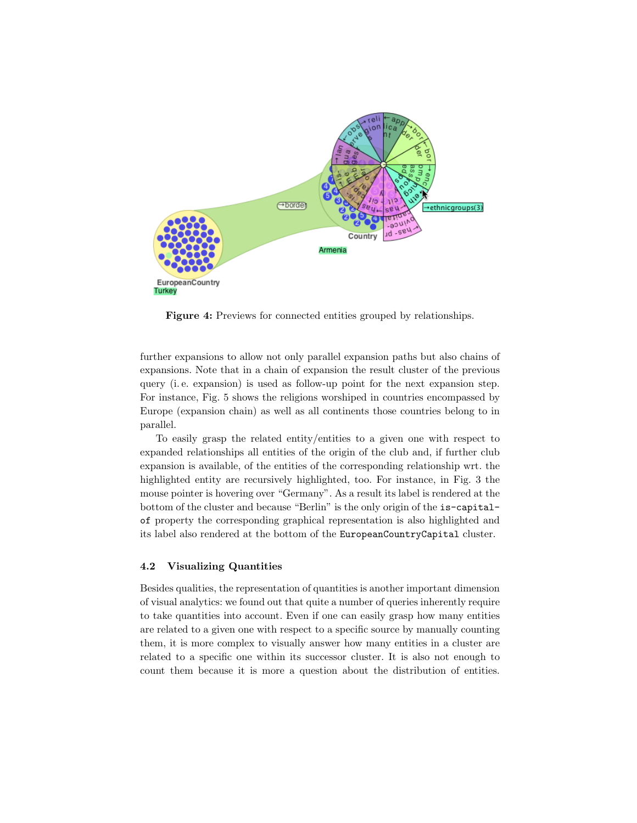

Figure 4: Previews for connected entities grouped by relationships.

further expansions to allow not only parallel expansion paths but also chains of expansions. Note that in a chain of expansion the result cluster of the previous query (i. e. expansion) is used as follow-up point for the next expansion step. For instance, Fig. 5 shows the religions worshiped in countries encompassed by Europe (expansion chain) as well as all continents those countries belong to in parallel.

To easily grasp the related entity/entities to a given one with respect to expanded relationships all entities of the origin of the club and, if further club expansion is available, of the entities of the corresponding relationship wrt. the highlighted entity are recursively highlighted, too. For instance, in Fig. 3 the mouse pointer is hovering over "Germany". As a result its label is rendered at the bottom of the cluster and because "Berlin" is the only origin of the is-capitalof property the corresponding graphical representation is also highlighted and its label also rendered at the bottom of the EuropeanCountryCapital cluster.

#### 4.2 Visualizing Quantities

Besides qualities, the representation of quantities is another important dimension of visual analytics: we found out that quite a number of queries inherently require to take quantities into account. Even if one can easily grasp how many entities are related to a given one with respect to a specific source by manually counting them, it is more complex to visually answer how many entities in a cluster are related to a specific one within its successor cluster. It is also not enough to count them because it is more a question about the distribution of entities.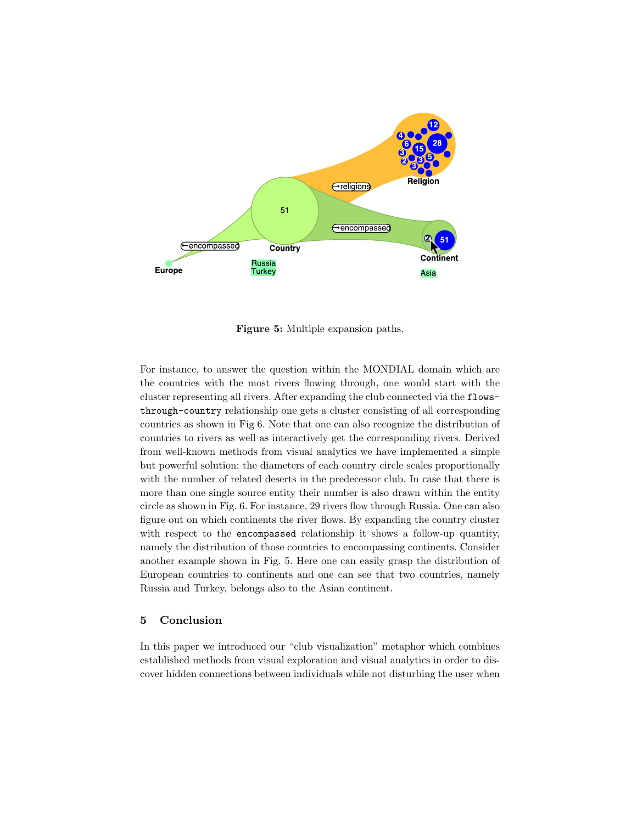

Figure 5: Multiple expansion paths.

For instance, to answer the question within the MONDIAL domain which are the countries with the most rivers flowing through, one would start with the cluster representing all rivers. After expanding the club connected via the flowsthrough-country relationship one gets a cluster consisting of all corresponding countries as shown in Fig 6. Note that one can also recognize the distribution of countries to rivers as well as interactively get the corresponding rivers. Derived from well-known methods from visual analytics we have implemented a simple but powerful solution: the diameters of each country circle scales proportionally with the number of related deserts in the predecessor club. In case that there is more than one single source entity their number is also drawn within the entity circle as shown in Fig. 6. For instance, 29 rivers flow through Russia. One can also figure out on which continents the river flows. By expanding the country cluster with respect to the encompassed relationship it shows a follow-up quantity, namely the distribution of those countries to encompassing continents. Consider another example shown in Fig. 5. Here one can easily grasp the distribution of European countries to continents and one can see that two countries, namely Russia and Turkey, belongs also to the Asian continent.

# 5 Conclusion

In this paper we introduced our "club visualization" metaphor which combines established methods from visual exploration and visual analytics in order to discover hidden connections between individuals while not disturbing the user when